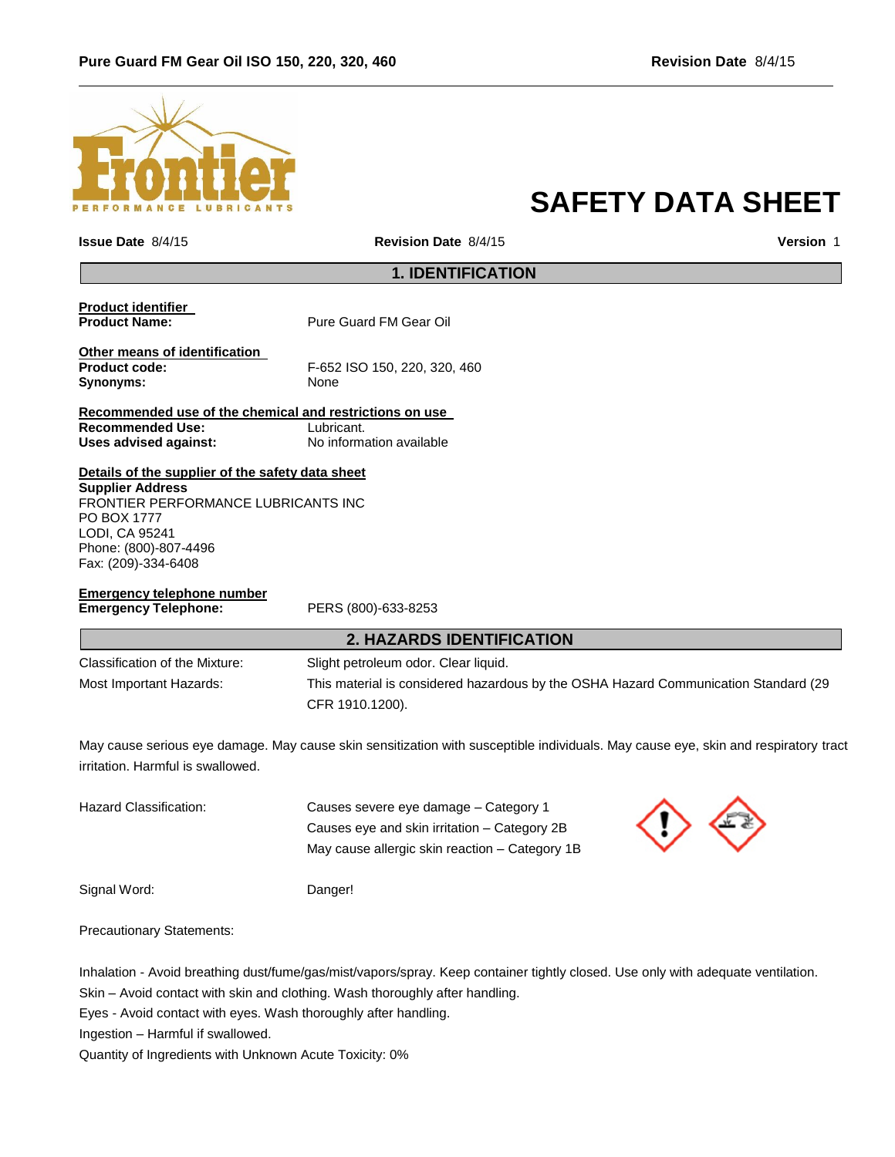

# **SAFETY DATA SHEET**

| <b>Issue Date 8/4/15</b>                                                                                                                                                                            | Revision Date 8/4/15                                                                                                                           | Version 1 |
|-----------------------------------------------------------------------------------------------------------------------------------------------------------------------------------------------------|------------------------------------------------------------------------------------------------------------------------------------------------|-----------|
| <b>1. IDENTIFICATION</b>                                                                                                                                                                            |                                                                                                                                                |           |
| <b>Product identifier</b><br><b>Product Name:</b>                                                                                                                                                   | Pure Guard FM Gear Oil                                                                                                                         |           |
| Other means of identification<br>Product code:<br>Synonyms:                                                                                                                                         | F-652 ISO 150, 220, 320, 460<br>None                                                                                                           |           |
| Recommended use of the chemical and restrictions on use<br><b>Recommended Use:</b><br><b>Uses advised against:</b>                                                                                  | Lubricant.<br>No information available                                                                                                         |           |
| Details of the supplier of the safety data sheet<br><b>Supplier Address</b><br>FRONTIER PERFORMANCE LUBRICANTS INC<br>PO BOX 1777<br>LODI, CA 95241<br>Phone: (800)-807-4496<br>Fax: (209)-334-6408 |                                                                                                                                                |           |
| <b>Emergency telephone number</b><br><b>Emergency Telephone:</b>                                                                                                                                    | PERS (800)-633-8253                                                                                                                            |           |
| <b>2. HAZARDS IDENTIFICATION</b>                                                                                                                                                                    |                                                                                                                                                |           |
| Classification of the Mixture:<br>Most Important Hazards:                                                                                                                                           | Slight petroleum odor. Clear liquid.<br>This material is considered hazardous by the OSHA Hazard Communication Standard (29<br>CFR 1910.1200). |           |
| irritation. Harmful is swallowed.                                                                                                                                                                   | May cause serious eye damage. May cause skin sensitization with susceptible individuals. May cause eye, skin and respiratory tract             |           |

| Hazard Classification: | Causes severe eye damage – Category 1          |            |
|------------------------|------------------------------------------------|------------|
|                        | Causes eve and skin irritation – Category 2B   | $\Diamond$ |
|                        | May cause allergic skin reaction – Category 1B |            |
|                        |                                                |            |

Precautionary Statements:

Inhalation - Avoid breathing dust/fume/gas/mist/vapors/spray. Keep container tightly closed. Use only with adequate ventilation.

Skin – Avoid contact with skin and clothing. Wash thoroughly after handling.

Eyes - Avoid contact with eyes. Wash thoroughly after handling.

Ingestion – Harmful if swallowed.

Quantity of Ingredients with Unknown Acute Toxicity: 0%

Signal Word: Danger!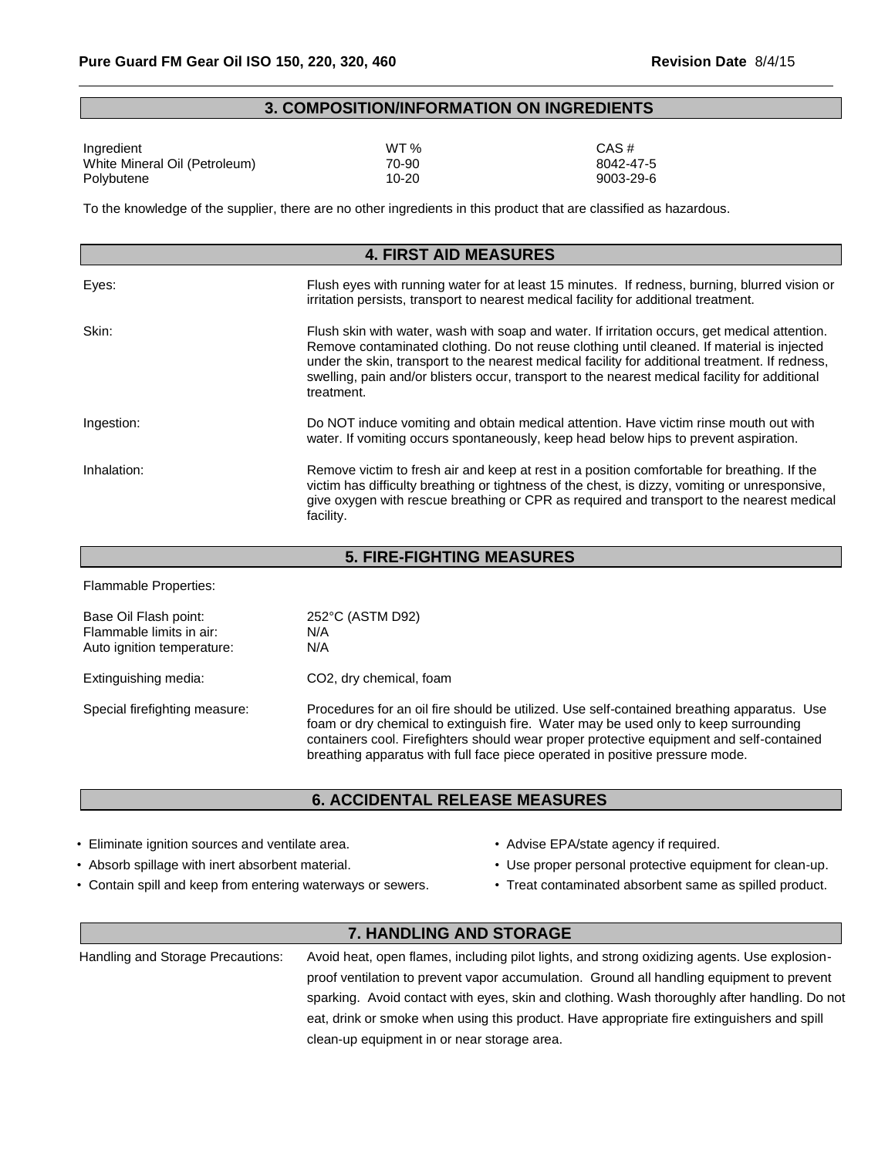### **3. COMPOSITION/INFORMATION ON INGREDIENTS**

| Ingredient                    | WT <sub>%</sub> | CAS#      |
|-------------------------------|-----------------|-----------|
| White Mineral Oil (Petroleum) | 70-90           | 8042-47-5 |
| Polybutene                    | $10 - 20$       | 9003-29-6 |

To the knowledge of the supplier, there are no other ingredients in this product that are classified as hazardous.

| <b>4. FIRST AID MEASURES</b> |                                                                                                                                                                                                                                                                                                                                                                                                                |  |
|------------------------------|----------------------------------------------------------------------------------------------------------------------------------------------------------------------------------------------------------------------------------------------------------------------------------------------------------------------------------------------------------------------------------------------------------------|--|
| Eyes:                        | Flush eyes with running water for at least 15 minutes. If redness, burning, blurred vision or<br>irritation persists, transport to nearest medical facility for additional treatment.                                                                                                                                                                                                                          |  |
| Skin:                        | Flush skin with water, wash with soap and water. If irritation occurs, get medical attention.<br>Remove contaminated clothing. Do not reuse clothing until cleaned. If material is injected<br>under the skin, transport to the nearest medical facility for additional treatment. If redness,<br>swelling, pain and/or blisters occur, transport to the nearest medical facility for additional<br>treatment. |  |
| Ingestion:                   | Do NOT induce vomiting and obtain medical attention. Have victim rinse mouth out with<br>water. If vomiting occurs spontaneously, keep head below hips to prevent aspiration.                                                                                                                                                                                                                                  |  |
| Inhalation:                  | Remove victim to fresh air and keep at rest in a position comfortable for breathing. If the<br>victim has difficulty breathing or tightness of the chest, is dizzy, vomiting or unresponsive,<br>give oxygen with rescue breathing or CPR as required and transport to the nearest medical<br>facility.                                                                                                        |  |

| <b>5. FIRE-FIGHTING MEASURES</b>                                                |                                                                                                                                                                                                                                                                                                                                                               |  |
|---------------------------------------------------------------------------------|---------------------------------------------------------------------------------------------------------------------------------------------------------------------------------------------------------------------------------------------------------------------------------------------------------------------------------------------------------------|--|
| <b>Flammable Properties:</b>                                                    |                                                                                                                                                                                                                                                                                                                                                               |  |
| Base Oil Flash point:<br>Flammable limits in air:<br>Auto ignition temperature: | 252°C (ASTM D92)<br>N/A<br>N/A                                                                                                                                                                                                                                                                                                                                |  |
| Extinguishing media:                                                            | CO <sub>2</sub> , dry chemical, foam                                                                                                                                                                                                                                                                                                                          |  |
| Special firefighting measure:                                                   | Procedures for an oil fire should be utilized. Use self-contained breathing apparatus. Use<br>foam or dry chemical to extinguish fire. Water may be used only to keep surrounding<br>containers cool. Firefighters should wear proper protective equipment and self-contained<br>breathing apparatus with full face piece operated in positive pressure mode. |  |

### **6. ACCIDENTAL RELEASE MEASURES**

- Eliminate ignition sources and ventilate area. • Advise EPA/state agency if required.
- 
- Contain spill and keep from entering waterways or sewers. Treat contaminated absorbent same as spilled product.
- 
- Absorb spillage with inert absorbent material. • Use proper personal protective equipment for clean-up.
	-

### **7. HANDLING AND STORAGE**

Handling and Storage Precautions: Avoid heat, open flames, including pilot lights, and strong oxidizing agents. Use explosionproof ventilation to prevent vapor accumulation. Ground all handling equipment to prevent sparking. Avoid contact with eyes, skin and clothing. Wash thoroughly after handling. Do not eat, drink or smoke when using this product. Have appropriate fire extinguishers and spill clean-up equipment in or near storage area.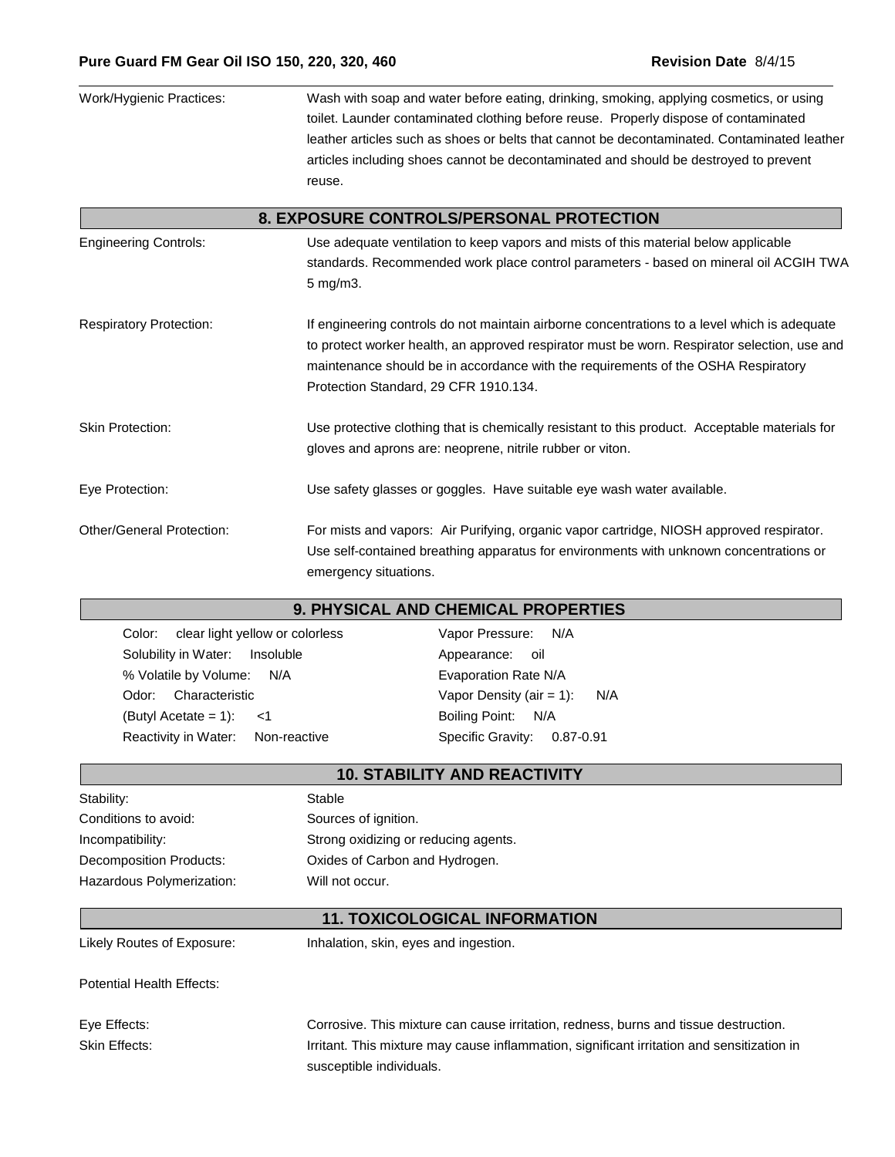| Work/Hygienic Practices:       | Wash with soap and water before eating, drinking, smoking, applying cosmetics, or using<br>toilet. Launder contaminated clothing before reuse. Properly dispose of contaminated<br>leather articles such as shoes or belts that cannot be decontaminated. Contaminated leather<br>articles including shoes cannot be decontaminated and should be destroyed to prevent<br>reuse. |
|--------------------------------|----------------------------------------------------------------------------------------------------------------------------------------------------------------------------------------------------------------------------------------------------------------------------------------------------------------------------------------------------------------------------------|
|                                | 8. EXPOSURE CONTROLS/PERSONAL PROTECTION                                                                                                                                                                                                                                                                                                                                         |
| <b>Engineering Controls:</b>   | Use adequate ventilation to keep vapors and mists of this material below applicable<br>standards. Recommended work place control parameters - based on mineral oil ACGIH TWA<br>5 mg/m3.                                                                                                                                                                                         |
| <b>Respiratory Protection:</b> | If engineering controls do not maintain airborne concentrations to a level which is adequate<br>to protect worker health, an approved respirator must be worn. Respirator selection, use and<br>maintenance should be in accordance with the requirements of the OSHA Respiratory<br>Protection Standard, 29 CFR 1910.134.                                                       |
| <b>Skin Protection:</b>        | Use protective clothing that is chemically resistant to this product. Acceptable materials for<br>gloves and aprons are: neoprene, nitrile rubber or viton.                                                                                                                                                                                                                      |
| Eye Protection:                | Use safety glasses or goggles. Have suitable eye wash water available.                                                                                                                                                                                                                                                                                                           |
| Other/General Protection:      | For mists and vapors: Air Purifying, organic vapor cartridge, NIOSH approved respirator.<br>Use self-contained breathing apparatus for environments with unknown concentrations or<br>emergency situations.                                                                                                                                                                      |

#### **9. PHYSICAL AND CHEMICAL PROPERTIES**

Color: clear light yellow or colorless Vapor Pressure: N/A Solubility in Water: Insoluble **Appearance**: oil % Volatile by Volume: N/A Evaporation Rate N/A Odor: Characteristic vapor Density (air = 1): N/A (Butyl Acetate = 1): <1 Boiling Point: N/A Reactivity in Water: Non-reactive Specific Gravity: 0.87-0.91

| <b>10. STABILITY AND REACTIVITY</b> |                                      |
|-------------------------------------|--------------------------------------|
| Stability:                          | Stable                               |
| Conditions to avoid:                | Sources of ignition.                 |
| Incompatibility:                    | Strong oxidizing or reducing agents. |
| Decomposition Products:             | Oxides of Carbon and Hydrogen.       |
| Hazardous Polymerization:           | Will not occur.                      |

#### **11. TOXICOLOGICAL INFORMATION**

Likely Routes of Exposure: Inhalation, skin, eyes and ingestion.

Potential Health Effects:

Eye Effects: Corrosive. This mixture can cause irritation, redness, burns and tissue destruction. Skin Effects: **Inter antical intervals and Sensity Controller** Irritation and sensitization in susceptible individuals.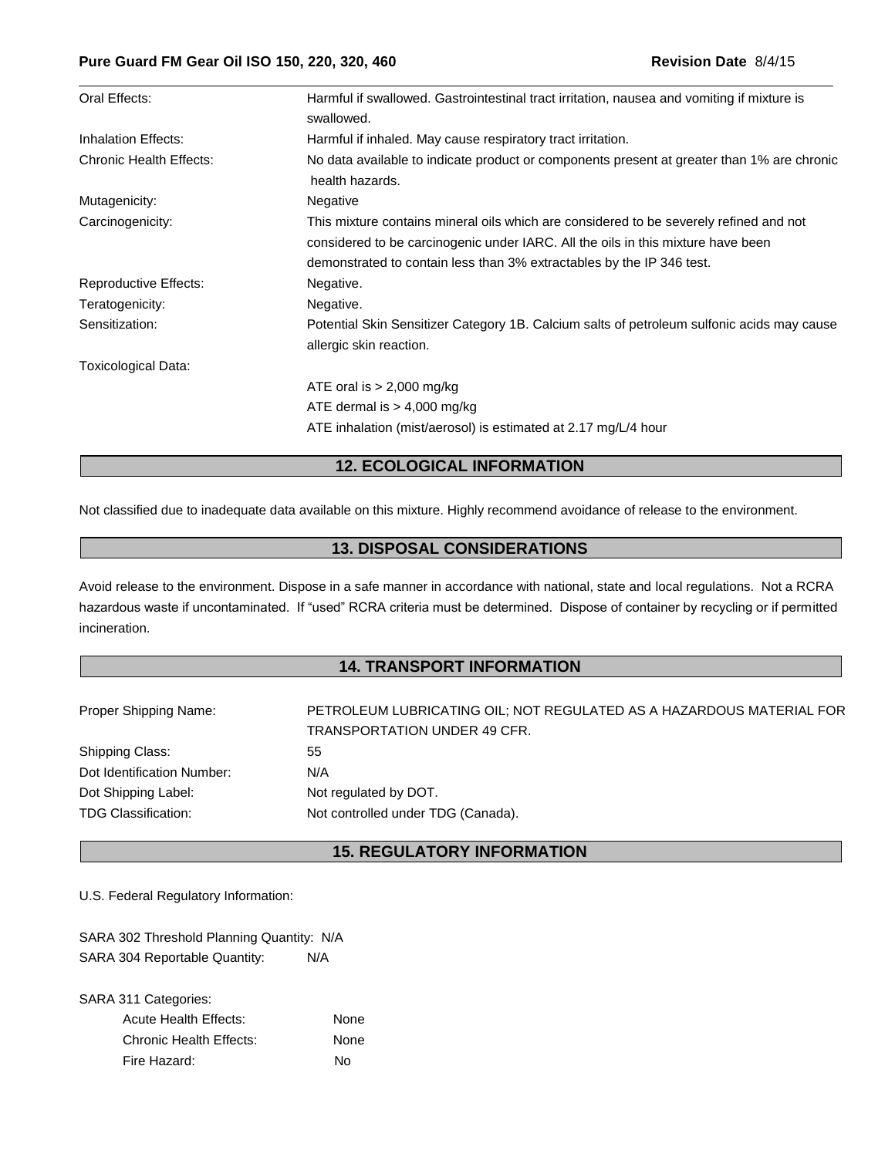| Oral Effects:                  | Harmful if swallowed. Gastrointestinal tract irritation, nausea and vomiting if mixture is                                                                                                                                                          |
|--------------------------------|-----------------------------------------------------------------------------------------------------------------------------------------------------------------------------------------------------------------------------------------------------|
|                                | swallowed.                                                                                                                                                                                                                                          |
| Inhalation Effects:            | Harmful if inhaled. May cause respiratory tract irritation.                                                                                                                                                                                         |
| <b>Chronic Health Effects:</b> | No data available to indicate product or components present at greater than 1% are chronic<br>health hazards.                                                                                                                                       |
| Mutagenicity:                  | Negative                                                                                                                                                                                                                                            |
| Carcinogenicity:               | This mixture contains mineral oils which are considered to be severely refined and not<br>considered to be carcinogenic under IARC. All the oils in this mixture have been<br>demonstrated to contain less than 3% extractables by the IP 346 test. |
| <b>Reproductive Effects:</b>   | Negative.                                                                                                                                                                                                                                           |
| Teratogenicity:                | Negative.                                                                                                                                                                                                                                           |
| Sensitization:                 | Potential Skin Sensitizer Category 1B. Calcium salts of petroleum sulfonic acids may cause<br>allergic skin reaction.                                                                                                                               |
| Toxicological Data:            |                                                                                                                                                                                                                                                     |
|                                | ATE oral is $> 2,000$ mg/kg                                                                                                                                                                                                                         |
|                                | ATE dermal is $> 4,000$ mg/kg                                                                                                                                                                                                                       |
|                                | ATE inhalation (mist/aerosol) is estimated at 2.17 mg/L/4 hour                                                                                                                                                                                      |

# **12. ECOLOGICAL INFORMATION**

Not classified due to inadequate data available on this mixture. Highly recommend avoidance of release to the environment.

### **13. DISPOSAL CONSIDERATIONS**

Avoid release to the environment. Dispose in a safe manner in accordance with national, state and local regulations. Not a RCRA hazardous waste if uncontaminated. If "used" RCRA criteria must be determined. Dispose of container by recycling or if permitted incineration.

## **14. TRANSPORT INFORMATION**

| Proper Shipping Name:      | PETROLEUM LUBRICATING OIL; NOT REGULATED AS A HAZARDOUS MATERIAL FOR |
|----------------------------|----------------------------------------------------------------------|
|                            | <b>TRANSPORTATION UNDER 49 CFR.</b>                                  |
| Shipping Class:            | 55                                                                   |
| Dot Identification Number: | N/A                                                                  |
| Dot Shipping Label:        | Not regulated by DOT.                                                |
| <b>TDG Classification:</b> | Not controlled under TDG (Canada).                                   |

## **15. REGULATORY INFORMATION**

U.S. Federal Regulatory Information:

SARA 302 Threshold Planning Quantity: N/A SARA 304 Reportable Quantity: N/A

SARA 311 Categories: Acute Health Effects: None Chronic Health Effects: None Fire Hazard: No